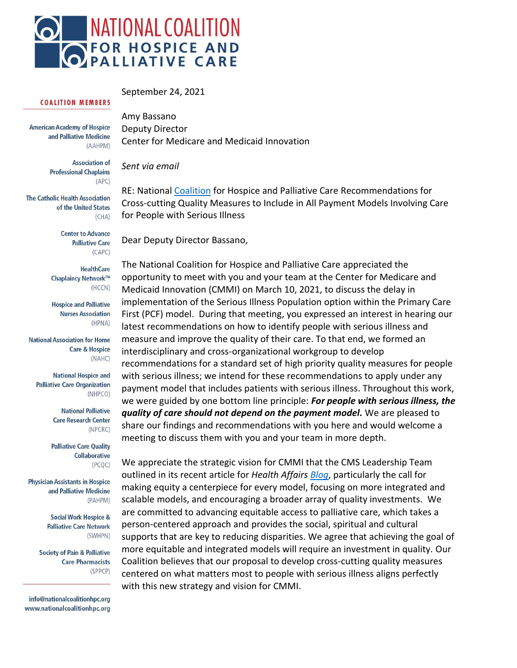

#### September 24, 2021

#### **COALITION MEMBERS**

**American Academy of Hospice** and Palliative Medicine (AAHPM)

> **Association of Professional Chaplains**  $(APC)$

**The Catholic Health Association** of the United States  $(CHA)$ 

> **Center to Advance Palliative Care**  $(CAPC)$

**HealthCare** Chaplaincy Network™  $(HCCN)$ 

**Hospice and Palliative Nurses Association** (HPNA)

**National Association for Home Care & Hospice**  $(NAHC)$ 

**National Hospice and Palliative Care Organization** (NHPCO)

> **National Palliative Care Research Center** (NPCRC)

**Palliative Care Quality Collaborative** (PCQC)

**Physician Assistants in Hospice** and Palliative Medicine (PAHPM)

> **Social Work Hospice & Palliative Care Network** (SWHPN)

**Society of Pain & Palliative Care Pharmacists** (SPPCP)

info@nationalcoalitionhpc.org www.nationalcoalitionhpc.org Amy Bassano Deputy Director Center for Medicare and Medicaid Innovation

*Sent via email*

RE: National [Coalition](https://www.nationalcoalitionhpc.org/) for Hospice and Palliative Care Recommendations for Cross-cutting Quality Measures to Include in All Payment Models Involving Care for People with Serious Illness

Dear Deputy Director Bassano,

The National Coalition for Hospice and Palliative Care appreciated the opportunity to meet with you and your team at the Center for Medicare and Medicaid Innovation (CMMI) on March 10, 2021, to discuss the delay in implementation of the Serious Illness Population option within the Primary Care First (PCF) model. During that meeting, you expressed an interest in hearing our latest recommendations on how to identify people with serious illness and measure and improve the quality of their care. To that end, we formed an interdisciplinary and cross-organizational workgroup to develop recommendations for a standard set of high priority quality measures for people with serious illness; we intend for these recommendations to apply under any payment model that includes patients with serious illness. Throughout this work, we were guided by one bottom line principle: *For people with serious illness, the quality of care should not depend on the payment model.* We are pleased to share our findings and recommendations with you here and would welcome a meeting to discuss them with you and your team in more depth.

We appreciate the strategic vision for CMMI that the CMS Leadership Team outlined in its recent article for *Health Affairs [Blog](https://www.healthaffairs.org/do/10.1377/hblog20210812.211558)*, particularly the call for making equity a centerpiece for every model, focusing on more integrated and scalable models, and encouraging a broader array of quality investments. We are committed to advancing equitable access to palliative care, which takes a person-centered approach and provides the social, spiritual and cultural supports that are key to reducing disparities. We agree that achieving the goal of more equitable and integrated models will require an investment in quality. Our Coalition believes that our proposal to develop cross-cutting quality measures centered on what matters most to people with serious illness aligns perfectly with this new strategy and vision for CMMI.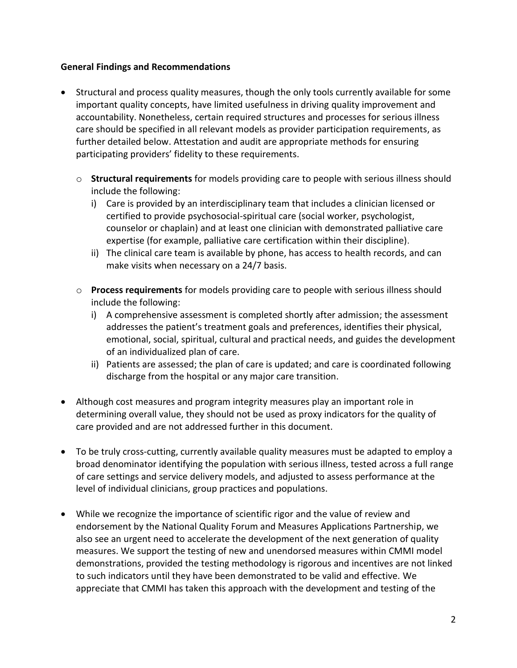#### **General Findings and Recommendations**

- Structural and process quality measures, though the only tools currently available for some important quality concepts, have limited usefulness in driving quality improvement and accountability. Nonetheless, certain required structures and processes for serious illness care should be specified in all relevant models as provider participation requirements, as further detailed below. Attestation and audit are appropriate methods for ensuring participating providers' fidelity to these requirements.
	- o **Structural requirements** for models providing care to people with serious illness should include the following:
		- i) Care is provided by an interdisciplinary team that includes a clinician licensed or certified to provide psychosocial-spiritual care (social worker, psychologist, counselor or chaplain) and at least one clinician with demonstrated palliative care expertise (for example, palliative care certification within their discipline).
		- ii) The clinical care team is available by phone, has access to health records, and can make visits when necessary on a 24/7 basis.
	- o **Process requirements** for models providing care to people with serious illness should include the following:
		- i) A comprehensive assessment is completed shortly after admission; the assessment addresses the patient's treatment goals and preferences, identifies their physical, emotional, social, spiritual, cultural and practical needs, and guides the development of an individualized plan of care.
		- ii) Patients are assessed; the plan of care is updated; and care is coordinated following discharge from the hospital or any major care transition.
- Although cost measures and program integrity measures play an important role in determining overall value, they should not be used as proxy indicators for the quality of care provided and are not addressed further in this document.
- To be truly cross-cutting, currently available quality measures must be adapted to employ a broad denominator identifying the population with serious illness, tested across a full range of care settings and service delivery models, and adjusted to assess performance at the level of individual clinicians, group practices and populations.
- While we recognize the importance of scientific rigor and the value of review and endorsement by the National Quality Forum and Measures Applications Partnership, we also see an urgent need to accelerate the development of the next generation of quality measures. We support the testing of new and unendorsed measures within CMMI model demonstrations, provided the testing methodology is rigorous and incentives are not linked to such indicators until they have been demonstrated to be valid and effective. We appreciate that CMMI has taken this approach with the development and testing of the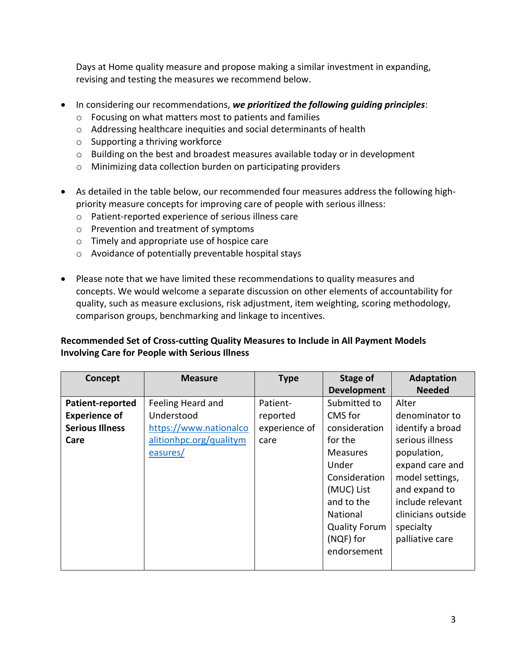Days at Home quality measure and propose making a similar investment in expanding, revising and testing the measures we recommend below.

- In considering our recommendations, *we prioritized the following guiding principles*:
	- o Focusing on what matters most to patients and families
	- o Addressing healthcare inequities and social determinants of health
	- o Supporting a thriving workforce
	- $\circ$  Building on the best and broadest measures available today or in development
	- o Minimizing data collection burden on participating providers
- As detailed in the table below, our recommended four measures address the following highpriority measure concepts for improving care of people with serious illness:
	- o Patient-reported experience of serious illness care
	- o Prevention and treatment of symptoms
	- o Timely and appropriate use of hospice care
	- o Avoidance of potentially preventable hospital stays
- Please note that we have limited these recommendations to quality measures and concepts. We would welcome a separate discussion on other elements of accountability for quality, such as measure exclusions, risk adjustment, item weighting, scoring methodology, comparison groups, benchmarking and linkage to incentives.

## **Recommended Set of Cross-cutting Quality Measures to Include in All Payment Models Involving Care for People with Serious Illness**

| Concept                | <b>Measure</b>          | <b>Type</b>   | Stage of             | <b>Adaptation</b>  |
|------------------------|-------------------------|---------------|----------------------|--------------------|
|                        |                         |               | <b>Development</b>   | <b>Needed</b>      |
| Patient-reported       | Feeling Heard and       | Patient-      | Submitted to         | Alter              |
| <b>Experience of</b>   | Understood              | reported      | CMS for              | denominator to     |
| <b>Serious Illness</b> | https://www.nationalco  | experience of | consideration        | identify a broad   |
| Care                   | alitionhpc.org/qualitym | care          | for the              | serious illness    |
|                        | easures/                |               | <b>Measures</b>      | population,        |
|                        |                         |               | Under                | expand care and    |
|                        |                         |               | Consideration        | model settings,    |
|                        |                         |               | (MUC) List           | and expand to      |
|                        |                         |               | and to the           | include relevant   |
|                        |                         |               | <b>National</b>      | clinicians outside |
|                        |                         |               | <b>Quality Forum</b> | specialty          |
|                        |                         |               | (NQF) for            | palliative care    |
|                        |                         |               | endorsement          |                    |
|                        |                         |               |                      |                    |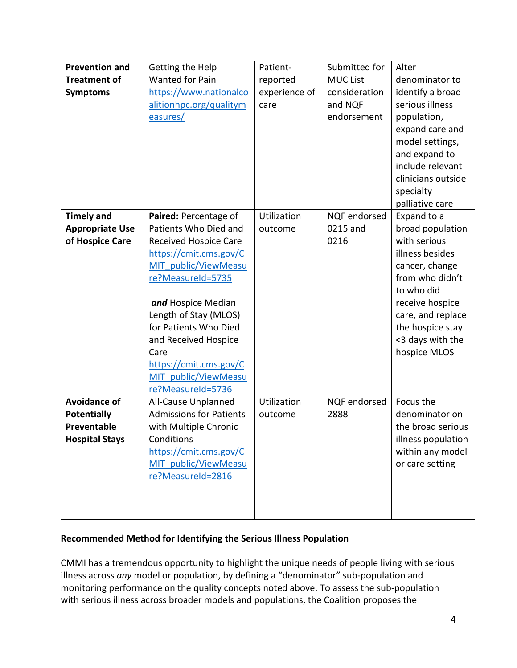| <b>Prevention and</b><br><b>Treatment of</b><br><b>Symptoms</b>                   | Getting the Help<br>Wanted for Pain<br>https://www.nationalco<br>alitionhpc.org/qualitym<br>easures/                                                                                                                                                                                                                          | Patient-<br>reported<br>experience of<br>care | Submitted for<br><b>MUC List</b><br>consideration<br>and NQF<br>endorsement | Alter<br>denominator to<br>identify a broad<br>serious illness<br>population,<br>expand care and<br>model settings,<br>and expand to<br>include relevant                                                              |
|-----------------------------------------------------------------------------------|-------------------------------------------------------------------------------------------------------------------------------------------------------------------------------------------------------------------------------------------------------------------------------------------------------------------------------|-----------------------------------------------|-----------------------------------------------------------------------------|-----------------------------------------------------------------------------------------------------------------------------------------------------------------------------------------------------------------------|
|                                                                                   |                                                                                                                                                                                                                                                                                                                               |                                               |                                                                             | clinicians outside<br>specialty<br>palliative care                                                                                                                                                                    |
| <b>Timely and</b><br><b>Appropriate Use</b><br>of Hospice Care                    | Paired: Percentage of<br>Patients Who Died and<br>Received Hospice Care<br>https://cmit.cms.gov/C<br>MIT public/ViewMeasu<br>re?MeasureId=5735<br>and Hospice Median<br>Length of Stay (MLOS)<br>for Patients Who Died<br>and Received Hospice<br>Care<br>https://cmit.cms.gov/C<br>MIT public/ViewMeasu<br>re?MeasureId=5736 | Utilization<br>outcome                        | NQF endorsed<br>0215 and<br>0216                                            | Expand to a<br>broad population<br>with serious<br>illness besides<br>cancer, change<br>from who didn't<br>to who did<br>receive hospice<br>care, and replace<br>the hospice stay<br><3 days with the<br>hospice MLOS |
| <b>Avoidance of</b><br><b>Potentially</b><br>Preventable<br><b>Hospital Stays</b> | All-Cause Unplanned<br><b>Admissions for Patients</b><br>with Multiple Chronic<br>Conditions<br>https://cmit.cms.gov/C<br>MIT public/ViewMeasu<br>re?MeasureId=2816                                                                                                                                                           | Utilization<br>outcome                        | <b>NQF</b> endorsed<br>2888                                                 | Focus the<br>denominator on<br>the broad serious<br>illness population<br>within any model<br>or care setting                                                                                                         |

## **Recommended Method for Identifying the Serious Illness Population**

CMMI has a tremendous opportunity to highlight the unique needs of people living with serious illness across *any* model or population, by defining a "denominator" sub-population and monitoring performance on the quality concepts noted above. To assess the sub-population with serious illness across broader models and populations, the Coalition proposes the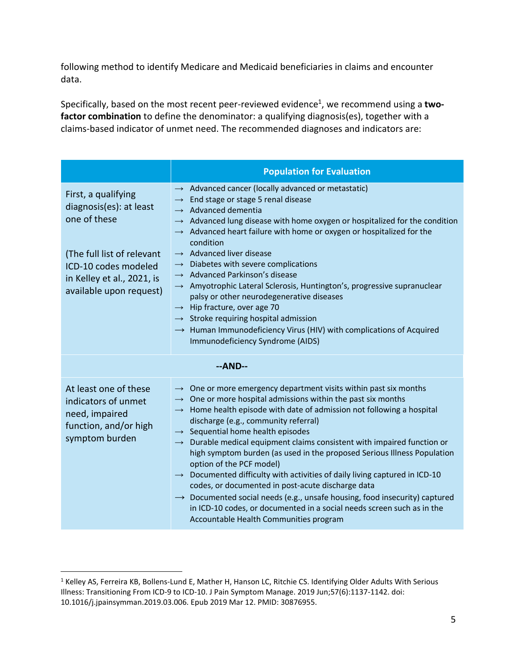following method to identify Medicare and Medicaid beneficiaries in claims and encounter data.

Specifically, based on the most recent peer-reviewed evidence<sup>1</sup>, we recommend using a two**factor combination** to define the denominator: a qualifying diagnosis(es), together with a claims-based indicator of unmet need. The recommended diagnoses and indicators are:

|                                                                                                                                                                               | <b>Population for Evaluation</b>                                                                                                                                                                                                                                                                                                                                                                                                                                                                                                                                                                                                                                                                                                                                                                                                                                                                  |  |  |  |
|-------------------------------------------------------------------------------------------------------------------------------------------------------------------------------|---------------------------------------------------------------------------------------------------------------------------------------------------------------------------------------------------------------------------------------------------------------------------------------------------------------------------------------------------------------------------------------------------------------------------------------------------------------------------------------------------------------------------------------------------------------------------------------------------------------------------------------------------------------------------------------------------------------------------------------------------------------------------------------------------------------------------------------------------------------------------------------------------|--|--|--|
| First, a qualifying<br>diagnosis(es): at least<br>one of these<br>(The full list of relevant<br>ICD-10 codes modeled<br>in Kelley et al., 2021, is<br>available upon request) | $\rightarrow$ Advanced cancer (locally advanced or metastatic)<br>$\rightarrow$ End stage or stage 5 renal disease<br>$\rightarrow$ Advanced dementia<br>Advanced lung disease with home oxygen or hospitalized for the condition<br>$\rightarrow$ Advanced heart failure with home or oxygen or hospitalized for the<br>condition<br>$\rightarrow$ Advanced liver disease<br>$\rightarrow$ Diabetes with severe complications<br>$\rightarrow$ Advanced Parkinson's disease<br>$\rightarrow$ Amyotrophic Lateral Sclerosis, Huntington's, progressive supranuclear<br>palsy or other neurodegenerative diseases<br>$\rightarrow$ Hip fracture, over age 70<br>$\rightarrow$ Stroke requiring hospital admission<br>$\rightarrow$ Human Immunodeficiency Virus (HIV) with complications of Acquired<br>Immunodeficiency Syndrome (AIDS)                                                           |  |  |  |
| $-AND-$                                                                                                                                                                       |                                                                                                                                                                                                                                                                                                                                                                                                                                                                                                                                                                                                                                                                                                                                                                                                                                                                                                   |  |  |  |
| At least one of these<br>indicators of unmet<br>need, impaired<br>function, and/or high<br>symptom burden                                                                     | $\rightarrow$ One or more emergency department visits within past six months<br>$\rightarrow$ One or more hospital admissions within the past six months<br>$\rightarrow$ Home health episode with date of admission not following a hospital<br>discharge (e.g., community referral)<br>$\rightarrow$ Sequential home health episodes<br>$\rightarrow$ Durable medical equipment claims consistent with impaired function or<br>high symptom burden (as used in the proposed Serious Illness Population<br>option of the PCF model)<br>$\rightarrow$ Documented difficulty with activities of daily living captured in ICD-10<br>codes, or documented in post-acute discharge data<br>$\rightarrow$ Documented social needs (e.g., unsafe housing, food insecurity) captured<br>in ICD-10 codes, or documented in a social needs screen such as in the<br>Accountable Health Communities program |  |  |  |

<sup>&</sup>lt;sup>1</sup> Kelley AS, Ferreira KB, Bollens-Lund E, Mather H, Hanson LC, Ritchie CS. Identifying Older Adults With Serious Illness: Transitioning From ICD-9 to ICD-10. J Pain Symptom Manage. 2019 Jun;57(6):1137-1142. doi: 10.1016/j.jpainsymman.2019.03.006. Epub 2019 Mar 12. PMID: 30876955.